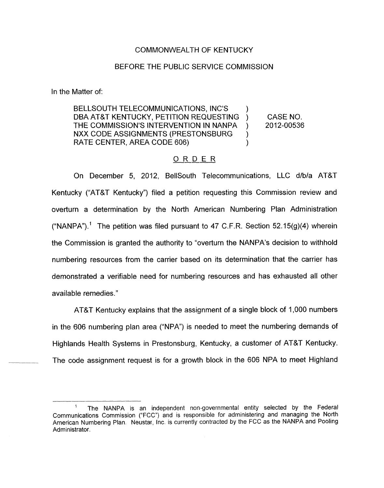## COMMONWEALTH OF KENTUCKY

## BEFORE THE PUBLIC SERVICE COMMISSION

In the Matter of:

CASE NO. BELLSOUTH TELECOMMUNICATIONS, INC'S DBA AT&T KENTUCKY, PETITION REQUESTING ) NXX CODE ASSIGNMENTS (PRESTONSBURG ) ) THE COMMISSION'S INTERVENTION IN NANPA ) 2012-00536 RATE CENTER, AREA CODE 606)

## ORDER

On December 5, 2012, BellSouth Telecommunications, LLC d/b/a AT&T Kentucky ("AT&T Kentucky") filed a petition requesting this Commission review and overturn a determination by the North American Numbering Plan Administration ("NANPA").<sup>1</sup> The petition was filed pursuant to 47 C.F.R. Section 52.15(g)(4) wherein the Commission is granted the authority to "overturn the NANPA's decision to withhold numbering resources from the carrier based on its determination that the carrier has demonstrated a verifiable need for numbering resources and has exhausted all other available remedies."

AT&T Kentucky explains that the assignment of a single block of 1,000 numbers in the 606 numbering plan area ("NPA") is needed to meet the numbering demands of Highlands Health Systems in Prestonsburg, Kentucky, a customer of AT&T Kentucky. The code assignment request is for a growth block in the 606 NPA to meet Highland

The NANPA is an independent non-governmental entity selected by the Federal Communications Commission ("FCC") and is responsible for administering and managing the North American Numbering Plan, Neustar, lnc. is currently contracted by the FCC as the NANPA and Pooling Administrator. **1**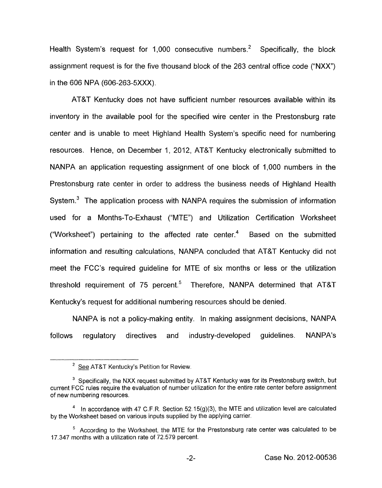Health System's request for 1,000 consecutive numbers.<sup>2</sup> Specifically, the block assignment request is for the five thousand block of the 263 central office code ("NXX") in the 606 NPA (606-263-5XXX).

AT&T Kentucky does not have sufficient number resources available within its inventory in the available pool for the specified wire center in the Prestonsburg rate center and is unable to meet Highland Health System's specific need for numbering resources. Hence, on December 1, 2012, AT&T Kentucky electronically submitted to NANPA an application requesting assignment of one block of 1,000 numbers in the Prestonsburg rate center in order to address the business needs of Highland Health System. $3$  The application process with NANPA requires the submission of information used for a Months-To-Exhaust ("MTE") and Utilization Certification Worksheet ("Worksheet") pertaining to the affected rate center. $<sup>4</sup>$  Based on the submitted</sup> information and resulting calculations, NANPA concluded that AT&T Kentucky did not meet the FCC's required guideline for MTE of six months or less or the utilization threshold requirement of 75 percent.<sup>5</sup> Therefore, NANPA determined that AT&T Kentucky's request for additional numbering resources should be denied.

NANPA is not a policy-making entity. In making assignment decisions, NANPA follows regulatory directives and industry-developed guidelines. NANPA's

<sup>&</sup>lt;sup>2</sup> See AT&T Kentucky's Petition for Review. See AT&

<sup>&</sup>lt;sup>3</sup> Specifically, the NXX request submitted by AT&T Kentucky was for its Prestonsburg switch, but current FCC rules require the evaluation of number utilization for the entire rate center before assignment of new numbering resources.

<sup>&</sup>lt;sup>4</sup> In accordance with 47 C.F.R. Section 52.15(g)(3), the MTE and utilization level are calculated by the Worksheet based on various inputs supplied by the applying carrier.

 $5$  According to the Worksheet, the MTE for the Prestonsburg rate center was calculated to be 17.347 months with a utilization rate of 72.579 percent.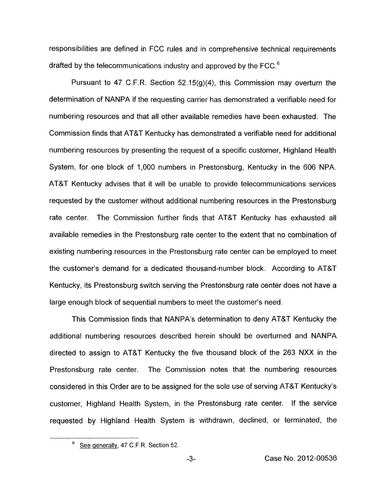responsibilities are defined in FCC rules and in comprehensive technical requirements drafted by the telecommunications industry and approved by the FCC.<sup>6</sup>

Pursuant to 47 C.F.R. Section 52.15 $(g)(4)$ , this Commission may overturn the determination of NANPA if the requesting carrier has demonstrated a verifiable need for numbering resources and that all other available remedies have been exhausted. The Commission finds that AT&T Kentucky has demonstrated a verifiable need for additional numbering resources by presenting the request of a specific customer, Highland Health System, for one block of 1,000 numbers in Prestonsburg, Kentucky in the 606 NPA. AT&T Kentucky advises that it will be unable to provide telecommunications services requested by the customer without additional numbering resources in the Prestonsburg rate center. The Commission further finds that AT&T Kentucky has exhausted all available remedies in the Prestonsburg rate center to the extent that no combination of existing numbering resources in the Prestonsburg rate center can be employed to meet the customer's demand for a dedicated thousand-number block. According to AT&T Kentucky, its Prestonsburg switch serving the Prestonsburg rate center does not have a large enough block of sequential numbers to meet the customer's need.

This Commission finds that NANPA's determination to deny AT&T Kentucky the additional numbering resources described herein should be overturned and NANPA directed to assign to AT&T Kentucky the five thousand block of the 263 NXX in the Prestonsburg rate center. The Commission notes that the numbering resources considered in this Order are to be assigned for the sole use of serving AT&T Kentucky's customer, Highland Health System, in the Prestonsburg rate center. If the service requested by Highland Health System is withdrawn, declined, or terminated, the -

<sup>&</sup>lt;sup>6</sup> See generally, 47 C.F.R. Section 52.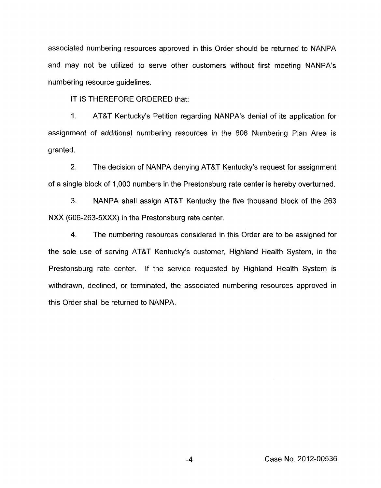associated numbering resources approved in this Order should be returned to NANPA and may not be utilized to serve other customers without first meeting NANPA's numbering resource guidelines.

IT IS THEREFORE ORDERED that:

1. AT&T Kentucky's Petition regarding NANPA's denial of its application for assignment of additional numbering resources in the 606 Numbering Plan Area is granted.

2. The decision of NANPA denying AT&T Kentucky's request for assignment of a single block of 1,000 numbers in the Prestonsburg rate center is hereby overturned.

3. NANPA shall assign AT&T Kentucky the five thousand block of the 263 NXX (606-263-5XXX) in the Prestonsburg rate center.

**4.** The numbering resources considered in this Order are to be assigned for the sole use of serving AT&T Kentucky's customer, Highland Health System, in the Prestonsburg rate center. If the service requested by Highland Health System is withdrawn, declined, or terminated, the associated numbering resources approved in this Order shall be returned to NANPA.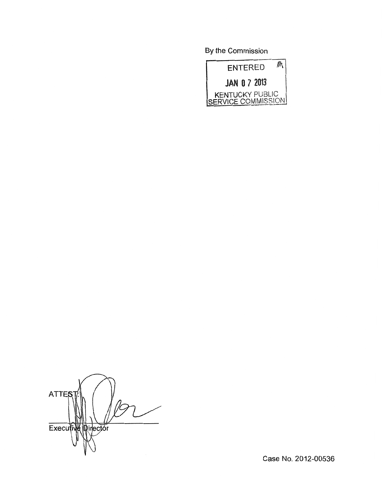By the Commission



**ATTES** Executive Director

Case No. 2012-00536